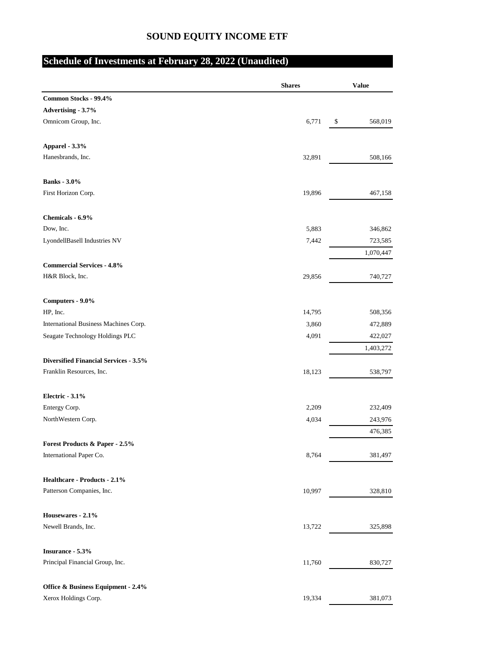## **SOUND EQUITY INCOME ETF**

## **Schedule of Investments at February 28, 2022 (Unaudited)**

|                                              | <b>Shares</b> | <b>Value</b>         |
|----------------------------------------------|---------------|----------------------|
| Common Stocks - 99.4%                        |               |                      |
| Advertising - 3.7%                           |               |                      |
| Omnicom Group, Inc.                          | 6,771         | 568,019<br>\$        |
| Apparel - 3.3%                               |               |                      |
| Hanesbrands, Inc.                            | 32,891        | 508,166              |
| <b>Banks</b> - 3.0%                          |               |                      |
| First Horizon Corp.                          | 19,896        | 467,158              |
| Chemicals - 6.9%                             |               |                      |
| Dow, Inc.                                    | 5,883         | 346,862              |
| LyondellBasell Industries NV                 | 7,442         | 723,585              |
|                                              |               | 1,070,447            |
| <b>Commercial Services - 4.8%</b>            |               |                      |
| H&R Block, Inc.                              | 29,856        | 740,727              |
| Computers - 9.0%                             |               |                      |
| HP, Inc.                                     | 14,795        | 508,356              |
| International Business Machines Corp.        | 3,860         | 472,889              |
| Seagate Technology Holdings PLC              | 4,091         | 422,027<br>1,403,272 |
| <b>Diversified Financial Services - 3.5%</b> |               |                      |
| Franklin Resources, Inc.                     | 18,123        | 538,797              |
| Electric - 3.1%                              |               |                      |
| Entergy Corp.                                | 2,209         | 232,409              |
| NorthWestern Corp.                           | 4,034         | 243,976              |
|                                              |               | 476,385              |
| <b>Forest Products &amp; Paper - 2.5%</b>    |               |                      |
| International Paper Co.                      | 8,764         | 381,497              |
| Healthcare - Products - 2.1%                 |               |                      |
| Patterson Companies, Inc.                    | 10,997        | 328,810              |
| Housewares - 2.1%                            |               |                      |
| Newell Brands, Inc.                          | 13,722        | 325,898              |
| Insurance - 5.3%                             |               |                      |
| Principal Financial Group, Inc.              | 11,760        | 830,727              |
| Office & Business Equipment - 2.4%           |               |                      |
| Xerox Holdings Corp.                         | 19,334        | 381,073              |